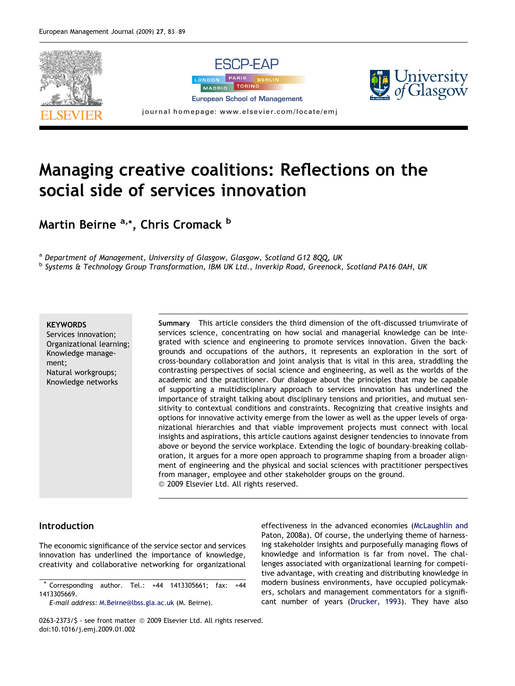

# Managing creative coalitions: Reflections on the social side of services innovation

Martin Beirne <sup>a,\*</sup>, Chris Cromack <sup>b</sup>

a Department of Management, University of Glasgow, Glasgow, Scotland G12 8QQ, UK b Systems & Technology Group Transformation, IBM UK Ltd., Inverkip Road, Greenock, Scotland PA16 0AH, UK

### **KEYWORDS**

Services innovation; Organizational learning; Knowledge management; Natural workgroups; Knowledge networks

Summary This article considers the third dimension of the oft-discussed triumvirate of services science, concentrating on how social and managerial knowledge can be integrated with science and engineering to promote services innovation. Given the backgrounds and occupations of the authors, it represents an exploration in the sort of cross-boundary collaboration and joint analysis that is vital in this area, straddling the contrasting perspectives of social science and engineering, as well as the worlds of the academic and the practitioner. Our dialogue about the principles that may be capable of supporting a multidisciplinary approach to services innovation has underlined the importance of straight talking about disciplinary tensions and priorities, and mutual sensitivity to contextual conditions and constraints. Recognizing that creative insights and options for innovative activity emerge from the lower as well as the upper levels of organizational hierarchies and that viable improvement projects must connect with local insights and aspirations, this article cautions against designer tendencies to innovate from above or beyond the service workplace. Extending the logic of boundary-breaking collaboration, it argues for a more open approach to programme shaping from a broader alignment of engineering and the physical and social sciences with practitioner perspectives from manager, employee and other stakeholder groups on the ground. © 2009 Elsevier Ltd. All rights reserved.

### Introduction

The economic significance of the service sector and services innovation has underlined the importance of knowledge, creativity and collaborative networking for organizational

E-mail address: [M.Beirne@lbss.gla.ac.uk](mailto:M.Beirne@lbss.gla.ac.uk) (M. Beirne).

effectiveness in the advanced economies ([McLaughlin and](#page--1-0) [Paton, 2008a\)](#page--1-0). Of course, the underlying theme of harnessing stakeholder insights and purposefully managing flows of knowledge and information is far from novel. The challenges associated with organizational learning for competitive advantage, with creating and distributing knowledge in modern business environments, have occupied policymakers, scholars and management commentators for a significant number of years [\(Drucker, 1993](#page--1-0)). They have also

0263-2373/\$ - see front matter © 2009 Elsevier Ltd. All rights reserved. doi:10.1016/j.emj.2009.01.002

Corresponding author. Tel.:  $+44$  1413305661; fax:  $+44$ 1413305669.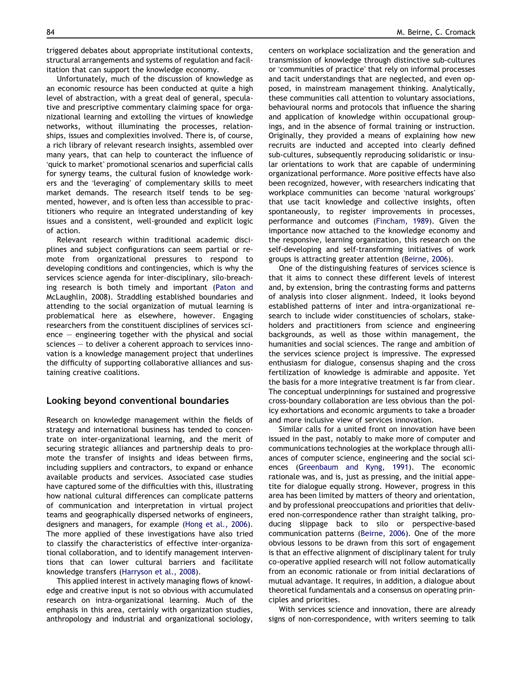triggered debates about appropriate institutional contexts, structural arrangements and systems of regulation and facilitation that can support the knowledge economy.

Unfortunately, much of the discussion of knowledge as an economic resource has been conducted at quite a high level of abstraction, with a great deal of general, speculative and prescriptive commentary claiming space for organizational learning and extolling the virtues of knowledge networks, without illuminating the processes, relationships, issues and complexities involved. There is, of course, a rich library of relevant research insights, assembled over many years, that can help to counteract the influence of -quick to market promotional scenarios and superficial calls for synergy teams, the cultural fusion of knowledge workers and the 'leveraging' of complementary skills to meet market demands. The research itself tends to be segmented, however, and is often less than accessible to practitioners who require an integrated understanding of key issues and a consistent, well-grounded and explicit logic of action.

Relevant research within traditional academic disciplines and subject configurations can seem partial or remote from organizational pressures to respond to developing conditions and contingencies, which is why the services science agenda for inter-disciplinary, silo-breaching research is both timely and important [\(Paton and](#page--1-0) [McLaughlin, 2008\)](#page--1-0). Straddling established boundaries and attending to the social organization of mutual learning is problematical here as elsewhere, however. Engaging researchers from the constituent disciplines of services sci $e$  – engineering together with the physical and social sciences – to deliver a coherent approach to services innovation is a knowledge management project that underlines the difficulty of supporting collaborative alliances and sustaining creative coalitions.

### Looking beyond conventional boundaries

Research on knowledge management within the fields of strategy and international business has tended to concentrate on inter-organizational learning, and the merit of securing strategic alliances and partnership deals to promote the transfer of insights and ideas between firms, including suppliers and contractors, to expand or enhance available products and services. Associated case studies have captured some of the difficulties with this, illustrating how national cultural differences can complicate patterns of communication and interpretation in virtual project teams and geographically dispersed networks of engineers, designers and managers, for example [\(Hong et al., 2006](#page--1-0)). The more applied of these investigations have also tried to classify the characteristics of effective inter-organizational collaboration, and to identify management interventions that can lower cultural barriers and facilitate knowledge transfers [\(Harryson et al., 2008](#page--1-0)).

This applied interest in actively managing flows of knowledge and creative input is not so obvious with accumulated research on intra-organizational learning. Much of the emphasis in this area, certainly with organization studies, anthropology and industrial and organizational sociology, centers on workplace socialization and the generation and transmission of knowledge through distinctive sub-cultures or 'communities of practice' that rely on informal processes and tacit understandings that are neglected, and even opposed, in mainstream management thinking. Analytically, these communities call attention to voluntary associations, behavioural norms and protocols that influence the sharing and application of knowledge within occupational groupings, and in the absence of formal training or instruction. Originally, they provided a means of explaining how new recruits are inducted and accepted into clearly defined sub-cultures, subsequently reproducing solidaristic or insular orientations to work that are capable of undermining organizational performance. More positive effects have also been recognized, however, with researchers indicating that workplace communities can become 'natural workgroups' that use tacit knowledge and collective insights, often spontaneously, to register improvements in processes, performance and outcomes [\(Fincham, 1989](#page--1-0)). Given the importance now attached to the knowledge economy and the responsive, learning organization, this research on the self-developing and self-transforming initiatives of work groups is attracting greater attention ([Beirne, 2006](#page--1-0)).

One of the distinguishing features of services science is that it aims to connect these different levels of interest and, by extension, bring the contrasting forms and patterns of analysis into closer alignment. Indeed, it looks beyond established patterns of inter and intra-organizational research to include wider constituencies of scholars, stakeholders and practitioners from science and engineering backgrounds, as well as those within management, the humanities and social sciences. The range and ambition of the services science project is impressive. The expressed enthusiasm for dialogue, consensus shaping and the cross fertilization of knowledge is admirable and apposite. Yet the basis for a more integrative treatment is far from clear. The conceptual underpinnings for sustained and progressive cross-boundary collaboration are less obvious than the policy exhortations and economic arguments to take a broader and more inclusive view of services innovation.

Similar calls for a united front on innovation have been issued in the past, notably to make more of computer and communications technologies at the workplace through alliances of computer science, engineering and the social sciences [\(Greenbaum and Kyng, 1991\)](#page--1-0). The economic rationale was, and is, just as pressing, and the initial appetite for dialogue equally strong. However, progress in this area has been limited by matters of theory and orientation, and by professional preoccupations and priorities that delivered non-correspondence rather than straight talking, producing slippage back to silo or perspective-based communication patterns [\(Beirne, 2006\)](#page--1-0). One of the more obvious lessons to be drawn from this sort of engagement is that an effective alignment of disciplinary talent for truly co-operative applied research will not follow automatically from an economic rationale or from initial declarations of mutual advantage. It requires, in addition, a dialogue about theoretical fundamentals and a consensus on operating principles and priorities.

With services science and innovation, there are already signs of non-correspondence, with writers seeming to talk